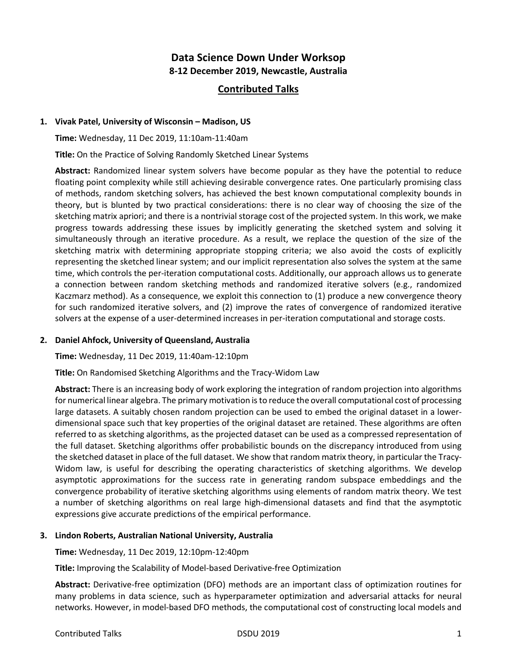# **Data Science Down Under Worksop 8-12 December 2019, Newcastle, Australia**

# **Contributed Talks**

#### **1. Vivak Patel, University of Wisconsin – Madison, US**

**Time:** Wednesday, 11 Dec 2019, 11:10am-11:40am

**Title:** On the Practice of Solving Randomly Sketched Linear Systems

**Abstract:** Randomized linear system solvers have become popular as they have the potential to reduce floating point complexity while still achieving desirable convergence rates. One particularly promising class of methods, random sketching solvers, has achieved the best known computational complexity bounds in theory, but is blunted by two practical considerations: there is no clear way of choosing the size of the sketching matrix apriori; and there is a nontrivial storage cost of the projected system. In this work, we make progress towards addressing these issues by implicitly generating the sketched system and solving it simultaneously through an iterative procedure. As a result, we replace the question of the size of the sketching matrix with determining appropriate stopping criteria; we also avoid the costs of explicitly representing the sketched linear system; and our implicit representation also solves the system at the same time, which controls the per-iteration computational costs. Additionally, our approach allows us to generate a connection between random sketching methods and randomized iterative solvers (e.g., randomized Kaczmarz method). As a consequence, we exploit this connection to (1) produce a new convergence theory for such randomized iterative solvers, and (2) improve the rates of convergence of randomized iterative solvers at the expense of a user-determined increases in per-iteration computational and storage costs.

# **2. Daniel Ahfock, University of Queensland, Australia**

**Time:** Wednesday, 11 Dec 2019, 11:40am-12:10pm

**Title:** On Randomised Sketching Algorithms and the Tracy-Widom Law

**Abstract:** There is an increasing body of work exploring the integration of random projection into algorithms for numerical linear algebra. The primary motivation is to reduce the overall computational cost of processing large datasets. A suitably chosen random projection can be used to embed the original dataset in a lowerdimensional space such that key properties of the original dataset are retained. These algorithms are often referred to as sketching algorithms, as the projected dataset can be used as a compressed representation of the full dataset. Sketching algorithms offer probabilistic bounds on the discrepancy introduced from using the sketched dataset in place of the full dataset. We show that random matrix theory, in particular the Tracy-Widom law, is useful for describing the operating characteristics of sketching algorithms. We develop asymptotic approximations for the success rate in generating random subspace embeddings and the convergence probability of iterative sketching algorithms using elements of random matrix theory. We test a number of sketching algorithms on real large high-dimensional datasets and find that the asymptotic expressions give accurate predictions of the empirical performance.

#### **3. Lindon Roberts, Australian National University, Australia**

**Time:** Wednesday, 11 Dec 2019, 12:10pm-12:40pm

**Title:** Improving the Scalability of Model-based Derivative-free Optimization

**Abstract:** Derivative-free optimization (DFO) methods are an important class of optimization routines for many problems in data science, such as hyperparameter optimization and adversarial attacks for neural networks. However, in model-based DFO methods, the computational cost of constructing local models and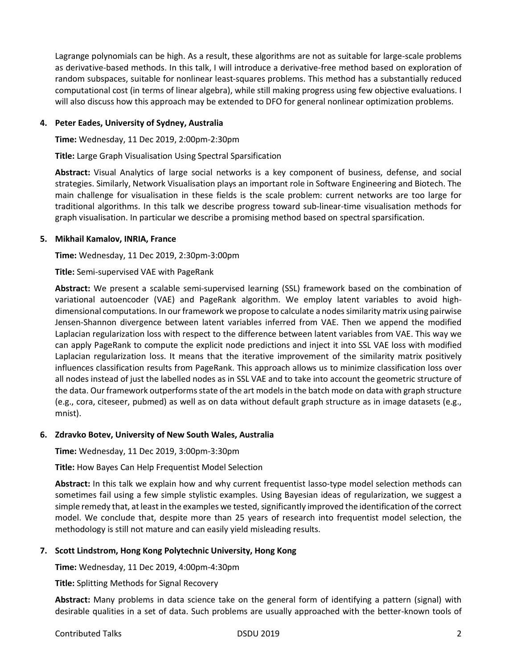Lagrange polynomials can be high. As a result, these algorithms are not as suitable for large-scale problems as derivative-based methods. In this talk, I will introduce a derivative-free method based on exploration of random subspaces, suitable for nonlinear least-squares problems. This method has a substantially reduced computational cost (in terms of linear algebra), while still making progress using few objective evaluations. I will also discuss how this approach may be extended to DFO for general nonlinear optimization problems.

# **4. Peter Eades, University of Sydney, Australia**

**Time:** Wednesday, 11 Dec 2019, 2:00pm-2:30pm

**Title:** Large Graph Visualisation Using Spectral Sparsification

**Abstract:** Visual Analytics of large social networks is a key component of business, defense, and social strategies. Similarly, Network Visualisation plays an important role in Software Engineering and Biotech. The main challenge for visualisation in these fields is the scale problem: current networks are too large for traditional algorithms. In this talk we describe progress toward sub-linear-time visualisation methods for graph visualisation. In particular we describe a promising method based on spectral sparsification.

# **5. Mikhail Kamalov, INRIA, France**

**Time:** Wednesday, 11 Dec 2019, 2:30pm-3:00pm

**Title:** Semi-supervised VAE with PageRank

**Abstract:** We present a scalable semi-supervised learning (SSL) framework based on the combination of variational autoencoder (VAE) and PageRank algorithm. We employ latent variables to avoid highdimensional computations. In our framework we propose to calculate a nodes similarity matrix using pairwise Jensen-Shannon divergence between latent variables inferred from VAE. Then we append the modified Laplacian regularization loss with respect to the difference between latent variables from VAE. This way we can apply PageRank to compute the explicit node predictions and inject it into SSL VAE loss with modified Laplacian regularization loss. It means that the iterative improvement of the similarity matrix positively influences classification results from PageRank. This approach allows us to minimize classification loss over all nodes instead of just the labelled nodes as in SSL VAE and to take into account the geometric structure of the data. Our framework outperforms state of the art models in the batch mode on data with graph structure (e.g., cora, citeseer, pubmed) as well as on data without default graph structure as in image datasets (e.g., mnist).

# **6. Zdravko Botev, University of New South Wales, Australia**

**Time:** Wednesday, 11 Dec 2019, 3:00pm-3:30pm

**Title:** How Bayes Can Help Frequentist Model Selection

**Abstract:** In this talk we explain how and why current frequentist lasso-type model selection methods can sometimes fail using a few simple stylistic examples. Using Bayesian ideas of regularization, we suggest a simple remedy that, at least in the examples we tested, significantly improved the identification of the correct model. We conclude that, despite more than 25 years of research into frequentist model selection, the methodology is still not mature and can easily yield misleading results.

# **7. Scott Lindstrom, Hong Kong Polytechnic University, Hong Kong**

**Time:** Wednesday, 11 Dec 2019, 4:00pm-4:30pm

**Title:** Splitting Methods for Signal Recovery

**Abstract:** Many problems in data science take on the general form of identifying a pattern (signal) with desirable qualities in a set of data. Such problems are usually approached with the better-known tools of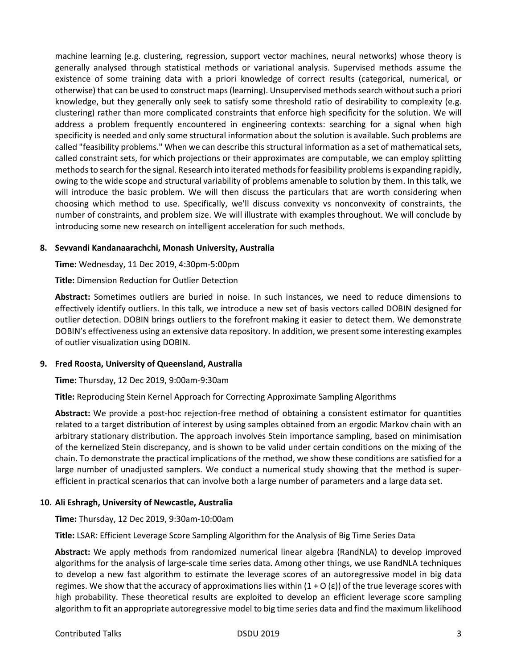machine learning (e.g. clustering, regression, support vector machines, neural networks) whose theory is generally analysed through statistical methods or variational analysis. Supervised methods assume the existence of some training data with a priori knowledge of correct results (categorical, numerical, or otherwise) that can be used to construct maps (learning). Unsupervised methods search without such a priori knowledge, but they generally only seek to satisfy some threshold ratio of desirability to complexity (e.g. clustering) rather than more complicated constraints that enforce high specificity for the solution. We will address a problem frequently encountered in engineering contexts: searching for a signal when high specificity is needed and only some structural information about the solution is available. Such problems are called "feasibility problems." When we can describe this structural information as a set of mathematical sets, called constraint sets, for which projections or their approximates are computable, we can employ splitting methods to search for the signal. Research into iterated methods for feasibility problems is expanding rapidly, owing to the wide scope and structural variability of problems amenable to solution by them. In this talk, we will introduce the basic problem. We will then discuss the particulars that are worth considering when choosing which method to use. Specifically, we'll discuss convexity vs nonconvexity of constraints, the number of constraints, and problem size. We will illustrate with examples throughout. We will conclude by introducing some new research on intelligent acceleration for such methods.

## **8. Sevvandi Kandanaarachchi, Monash University, Australia**

**Time:** Wednesday, 11 Dec 2019, 4:30pm-5:00pm

**Title:** Dimension Reduction for Outlier Detection

**Abstract:** Sometimes outliers are buried in noise. In such instances, we need to reduce dimensions to effectively identify outliers. In this talk, we introduce a new set of basis vectors called DOBIN designed for outlier detection. DOBIN brings outliers to the forefront making it easier to detect them. We demonstrate DOBIN's effectiveness using an extensive data repository. In addition, we present some interesting examples of outlier visualization using DOBIN.

#### **9. Fred Roosta, University of Queensland, Australia**

**Time:** Thursday, 12 Dec 2019, 9:00am-9:30am

**Title:** Reproducing Stein Kernel Approach for Correcting Approximate Sampling Algorithms

**Abstract:** We provide a post-hoc rejection-free method of obtaining a consistent estimator for quantities related to a target distribution of interest by using samples obtained from an ergodic Markov chain with an arbitrary stationary distribution. The approach involves Stein importance sampling, based on minimisation of the kernelized Stein discrepancy, and is shown to be valid under certain conditions on the mixing of the chain. To demonstrate the practical implications of the method, we show these conditions are satisfied for a large number of unadjusted samplers. We conduct a numerical study showing that the method is superefficient in practical scenarios that can involve both a large number of parameters and a large data set.

#### **10. Ali Eshragh, University of Newcastle, Australia**

**Time:** Thursday, 12 Dec 2019, 9:30am-10:00am

**Title:** LSAR: Efficient Leverage Score Sampling Algorithm for the Analysis of Big Time Series Data

**Abstract:** We apply methods from randomized numerical linear algebra (RandNLA) to develop improved algorithms for the analysis of large-scale time series data. Among other things, we use RandNLA techniques to develop a new fast algorithm to estimate the leverage scores of an autoregressive model in big data regimes. We show that the accuracy of approximations lies within  $(1 + O(\epsilon))$  of the true leverage scores with high probability. These theoretical results are exploited to develop an efficient leverage score sampling algorithm to fit an appropriate autoregressive model to big time series data and find the maximum likelihood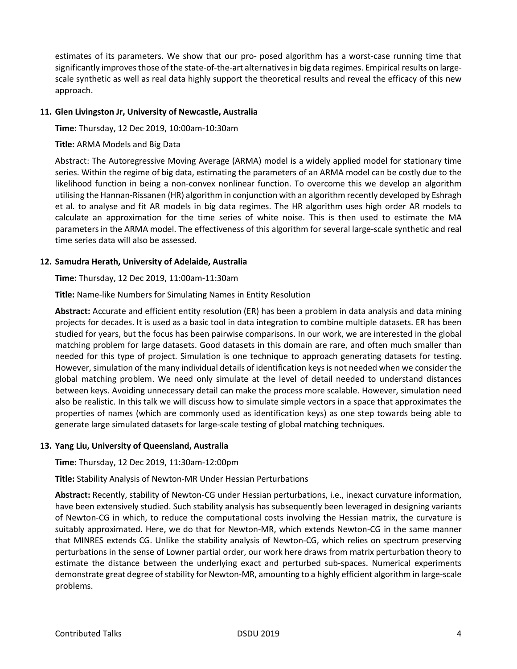estimates of its parameters. We show that our pro- posed algorithm has a worst-case running time that significantly improves those of the state-of-the-art alternatives in big data regimes. Empirical results on largescale synthetic as well as real data highly support the theoretical results and reveal the efficacy of this new approach.

## **11. Glen Livingston Jr, University of Newcastle, Australia**

**Time:** Thursday, 12 Dec 2019, 10:00am-10:30am

## **Title:** ARMA Models and Big Data

Abstract: The Autoregressive Moving Average (ARMA) model is a widely applied model for stationary time series. Within the regime of big data, estimating the parameters of an ARMA model can be costly due to the likelihood function in being a non-convex nonlinear function. To overcome this we develop an algorithm utilising the Hannan-Rissanen (HR) algorithm in conjunction with an algorithm recently developed by Eshragh et al. to analyse and fit AR models in big data regimes. The HR algorithm uses high order AR models to calculate an approximation for the time series of white noise. This is then used to estimate the MA parameters in the ARMA model. The effectiveness of this algorithm for several large-scale synthetic and real time series data will also be assessed.

## **12. Samudra Herath, University of Adelaide, Australia**

**Time:** Thursday, 12 Dec 2019, 11:00am-11:30am

**Title:** Name-like Numbers for Simulating Names in Entity Resolution

**Abstract:** Accurate and efficient entity resolution (ER) has been a problem in data analysis and data mining projects for decades. It is used as a basic tool in data integration to combine multiple datasets. ER has been studied for years, but the focus has been pairwise comparisons. In our work, we are interested in the global matching problem for large datasets. Good datasets in this domain are rare, and often much smaller than needed for this type of project. Simulation is one technique to approach generating datasets for testing. However, simulation of the many individual details of identification keys is not needed when we consider the global matching problem. We need only simulate at the level of detail needed to understand distances between keys. Avoiding unnecessary detail can make the process more scalable. However, simulation need also be realistic. In this talk we will discuss how to simulate simple vectors in a space that approximates the properties of names (which are commonly used as identification keys) as one step towards being able to generate large simulated datasets for large-scale testing of global matching techniques.

#### **13. Yang Liu, University of Queensland, Australia**

**Time:** Thursday, 12 Dec 2019, 11:30am-12:00pm

**Title:** Stability Analysis of Newton-MR Under Hessian Perturbations

**Abstract:** Recently, stability of Newton-CG under Hessian perturbations, i.e., inexact curvature information, have been extensively studied. Such stability analysis has subsequently been leveraged in designing variants of Newton-CG in which, to reduce the computational costs involving the Hessian matrix, the curvature is suitably approximated. Here, we do that for Newton-MR, which extends Newton-CG in the same manner that MINRES extends CG. Unlike the stability analysis of Newton-CG, which relies on spectrum preserving perturbations in the sense of Lowner partial order, our work here draws from matrix perturbation theory to estimate the distance between the underlying exact and perturbed sub-spaces. Numerical experiments demonstrate great degree of stability for Newton-MR, amounting to a highly efficient algorithm in large-scale problems.